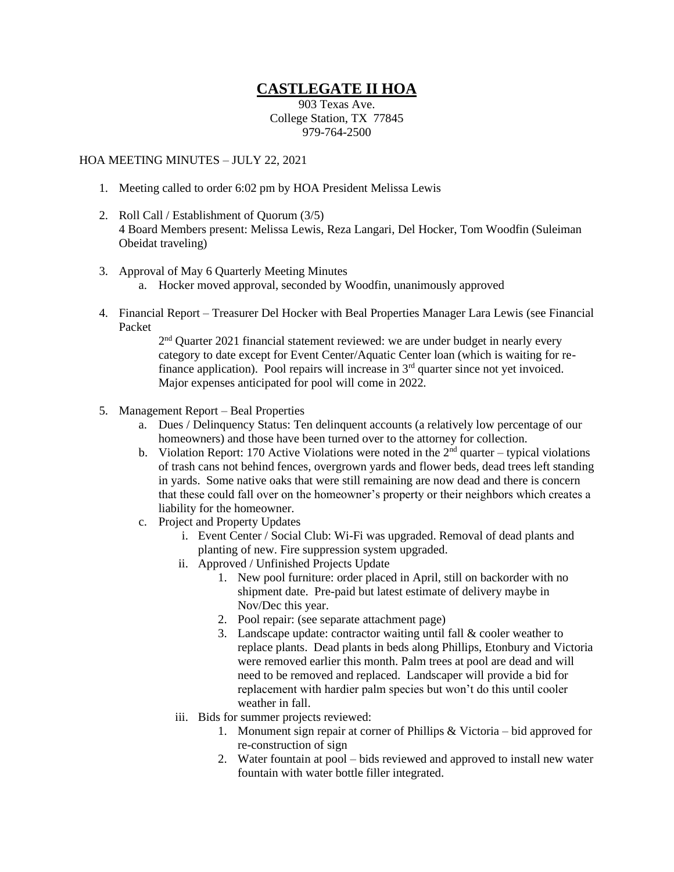## **CASTLEGATE II HOA**

903 Texas Ave. College Station, TX 77845 979-764-2500

## HOA MEETING MINUTES – JULY 22, 2021

- 1. Meeting called to order 6:02 pm by HOA President Melissa Lewis
- 2. Roll Call / Establishment of Quorum (3/5) 4 Board Members present: Melissa Lewis, Reza Langari, Del Hocker, Tom Woodfin (Suleiman Obeidat traveling)
- 3. Approval of May 6 Quarterly Meeting Minutes
	- a. Hocker moved approval, seconded by Woodfin, unanimously approved
- 4. Financial Report Treasurer Del Hocker with Beal Properties Manager Lara Lewis (see Financial Packet

 $2<sup>nd</sup>$  Quarter 2021 financial statement reviewed: we are under budget in nearly every category to date except for Event Center/Aquatic Center loan (which is waiting for refinance application). Pool repairs will increase in 3rd quarter since not yet invoiced. Major expenses anticipated for pool will come in 2022.

- 5. Management Report Beal Properties
	- a. Dues / Delinquency Status: Ten delinquent accounts (a relatively low percentage of our homeowners) and those have been turned over to the attorney for collection.
	- b. Violation Report: 170 Active Violations were noted in the  $2<sup>nd</sup>$  quarter typical violations of trash cans not behind fences, overgrown yards and flower beds, dead trees left standing in yards. Some native oaks that were still remaining are now dead and there is concern that these could fall over on the homeowner's property or their neighbors which creates a liability for the homeowner.
	- c. Project and Property Updates
		- i. Event Center / Social Club: Wi-Fi was upgraded. Removal of dead plants and planting of new. Fire suppression system upgraded.
		- ii. Approved / Unfinished Projects Update
			- 1. New pool furniture: order placed in April, still on backorder with no shipment date. Pre-paid but latest estimate of delivery maybe in Nov/Dec this year.
			- 2. Pool repair: (see separate attachment page)
			- 3. Landscape update: contractor waiting until fall & cooler weather to replace plants. Dead plants in beds along Phillips, Etonbury and Victoria were removed earlier this month. Palm trees at pool are dead and will need to be removed and replaced. Landscaper will provide a bid for replacement with hardier palm species but won't do this until cooler weather in fall.
		- iii. Bids for summer projects reviewed:
			- 1. Monument sign repair at corner of Phillips & Victoria bid approved for re-construction of sign
			- 2. Water fountain at pool bids reviewed and approved to install new water fountain with water bottle filler integrated.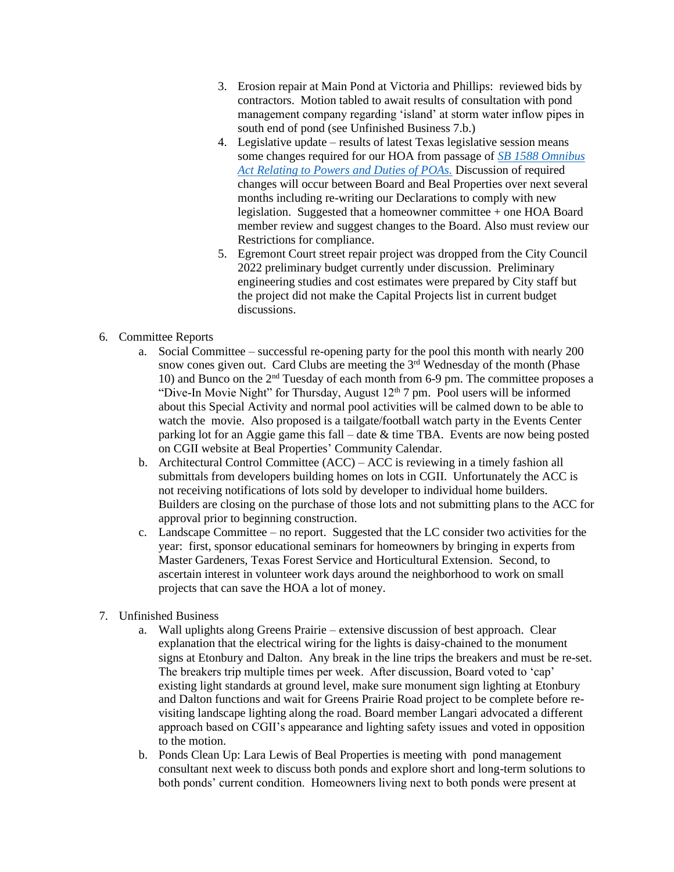- 3. Erosion repair at Main Pond at Victoria and Phillips: reviewed bids by contractors. Motion tabled to await results of consultation with pond management company regarding 'island' at storm water inflow pipes in south end of pond (see Unfinished Business 7.b.)
- 4. Legislative update results of latest Texas legislative session means some changes required for our HOA from passage of *[SB 1588 Omnibus](https://capitol.texas.gov/tlodocs/87R/analysis/html/SB01588I.htm)  [Act Relating to Powers and Duties of POAs.](https://capitol.texas.gov/tlodocs/87R/analysis/html/SB01588I.htm)* Discussion of required changes will occur between Board and Beal Properties over next several months including re-writing our Declarations to comply with new legislation. Suggested that a homeowner committee + one HOA Board member review and suggest changes to the Board. Also must review our Restrictions for compliance.
- 5. Egremont Court street repair project was dropped from the City Council 2022 preliminary budget currently under discussion. Preliminary engineering studies and cost estimates were prepared by City staff but the project did not make the Capital Projects list in current budget discussions.
- 6. Committee Reports
	- a. Social Committee successful re-opening party for the pool this month with nearly 200 snow cones given out. Card Clubs are meeting the  $3<sup>rd</sup>$  Wednesday of the month (Phase 10) and Bunco on the  $2<sup>nd</sup>$  Tuesday of each month from 6-9 pm. The committee proposes a "Dive-In Movie Night" for Thursday, August  $12<sup>th</sup>$ 7 pm. Pool users will be informed about this Special Activity and normal pool activities will be calmed down to be able to watch the movie. Also proposed is a tailgate/football watch party in the Events Center parking lot for an Aggie game this fall – date & time TBA. Events are now being posted on CGII website at Beal Properties' Community Calendar.
	- b. Architectural Control Committee (ACC) ACC is reviewing in a timely fashion all submittals from developers building homes on lots in CGII. Unfortunately the ACC is not receiving notifications of lots sold by developer to individual home builders. Builders are closing on the purchase of those lots and not submitting plans to the ACC for approval prior to beginning construction.
	- c. Landscape Committee no report. Suggested that the LC consider two activities for the year: first, sponsor educational seminars for homeowners by bringing in experts from Master Gardeners, Texas Forest Service and Horticultural Extension. Second, to ascertain interest in volunteer work days around the neighborhood to work on small projects that can save the HOA a lot of money.
- 7. Unfinished Business
	- a. Wall uplights along Greens Prairie extensive discussion of best approach. Clear explanation that the electrical wiring for the lights is daisy-chained to the monument signs at Etonbury and Dalton. Any break in the line trips the breakers and must be re-set. The breakers trip multiple times per week. After discussion, Board voted to 'cap' existing light standards at ground level, make sure monument sign lighting at Etonbury and Dalton functions and wait for Greens Prairie Road project to be complete before revisiting landscape lighting along the road. Board member Langari advocated a different approach based on CGII's appearance and lighting safety issues and voted in opposition to the motion.
	- b. Ponds Clean Up: Lara Lewis of Beal Properties is meeting with pond management consultant next week to discuss both ponds and explore short and long-term solutions to both ponds' current condition. Homeowners living next to both ponds were present at